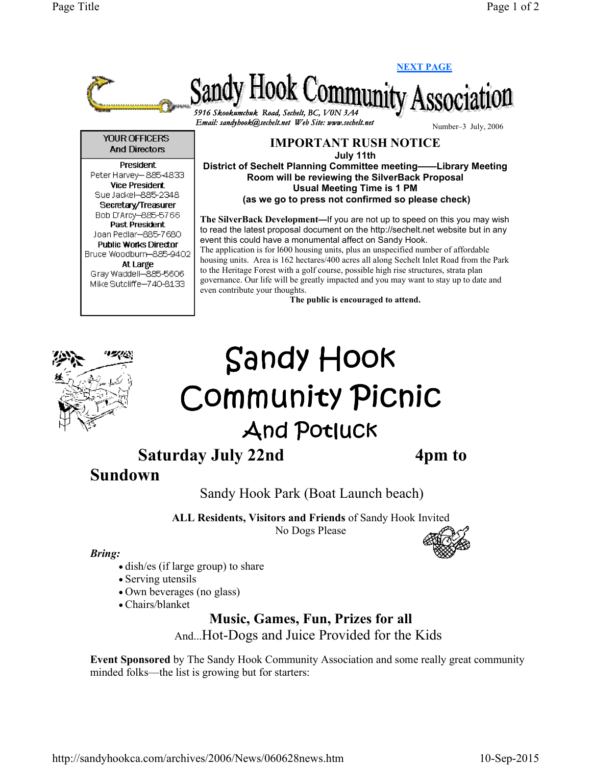

The public is encouraged to attend.



## Sandy Hook Community Picnic **And Potluck**

Saturday July 22nd 4pm to

## Sundown

Sandy Hook Park (Boat Launch beach)

ALL Residents, Visitors and Friends of Sandy Hook Invited No Dogs Please

## Bring:

- dish/es (if large group) to share
- Serving utensils
- Own beverages (no glass)
- Chairs/blanket

Music, Games, Fun, Prizes for all

And...Hot-Dogs and Juice Provided for the Kids

Event Sponsored by The Sandy Hook Community Association and some really great community minded folks—the list is growing but for starters: